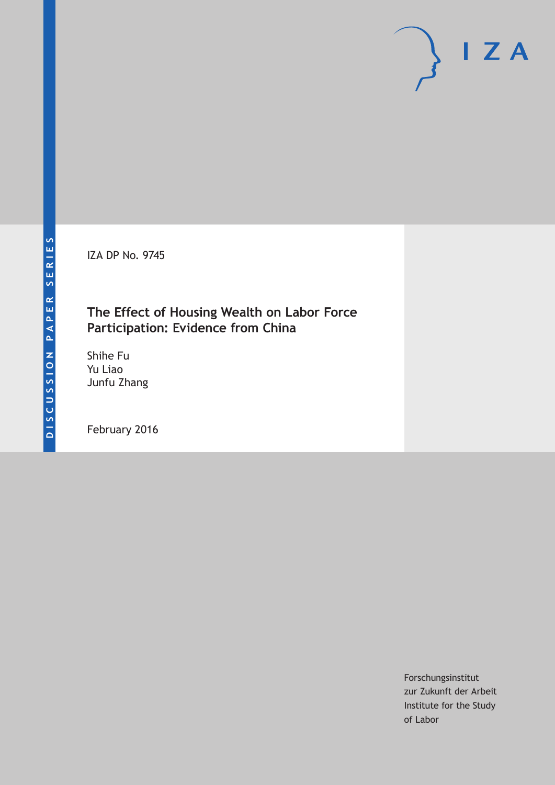IZA DP No. 9745

### **The Effect of Housing Wealth on Labor Force Participation: Evidence from China**

Shihe Fu Yu Liao Junfu Zhang

February 2016

Forschungsinstitut zur Zukunft der Arbeit Institute for the Study of Labor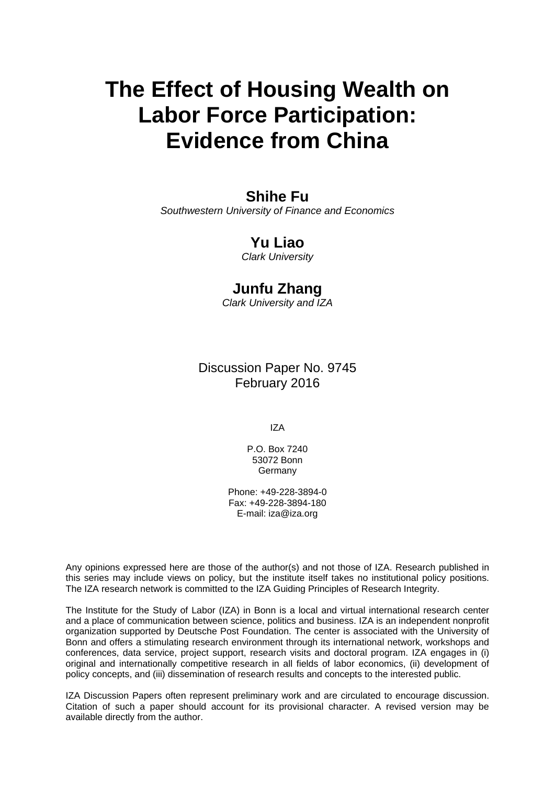# **The Effect of Housing Wealth on Labor Force Participation: Evidence from China**

### **Shihe Fu**

*Southwestern University of Finance and Economics* 

### **Yu Liao**

*Clark University* 

### **Junfu Zhang**

*Clark University and IZA*

Discussion Paper No. 9745 February 2016

IZA

P.O. Box 7240 53072 Bonn Germany

Phone: +49-228-3894-0 Fax: +49-228-3894-180 E-mail: iza@iza.org

Any opinions expressed here are those of the author(s) and not those of IZA. Research published in this series may include views on policy, but the institute itself takes no institutional policy positions. The IZA research network is committed to the IZA Guiding Principles of Research Integrity.

The Institute for the Study of Labor (IZA) in Bonn is a local and virtual international research center and a place of communication between science, politics and business. IZA is an independent nonprofit organization supported by Deutsche Post Foundation. The center is associated with the University of Bonn and offers a stimulating research environment through its international network, workshops and conferences, data service, project support, research visits and doctoral program. IZA engages in (i) original and internationally competitive research in all fields of labor economics, (ii) development of policy concepts, and (iii) dissemination of research results and concepts to the interested public.

IZA Discussion Papers often represent preliminary work and are circulated to encourage discussion. Citation of such a paper should account for its provisional character. A revised version may be available directly from the author.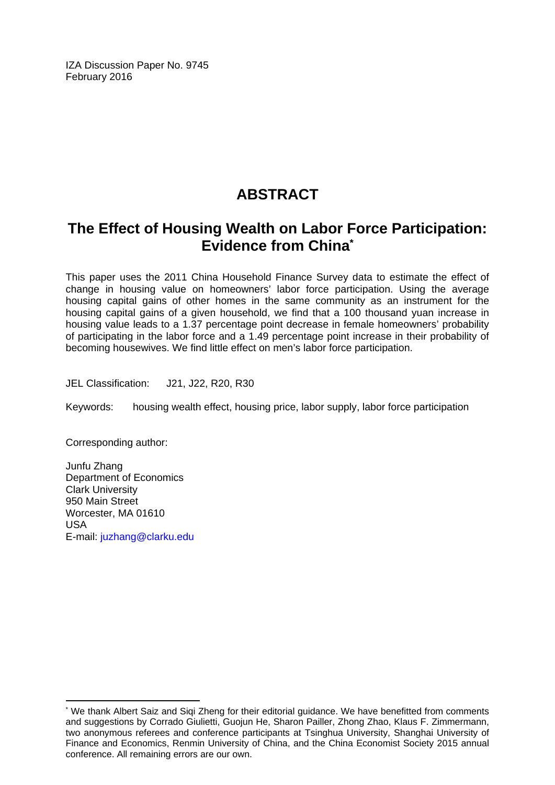IZA Discussion Paper No. 9745 February 2016

# **ABSTRACT**

## **The Effect of Housing Wealth on Labor Force Participation: Evidence from China\***

This paper uses the 2011 China Household Finance Survey data to estimate the effect of change in housing value on homeowners' labor force participation. Using the average housing capital gains of other homes in the same community as an instrument for the housing capital gains of a given household, we find that a 100 thousand yuan increase in housing value leads to a 1.37 percentage point decrease in female homeowners' probability of participating in the labor force and a 1.49 percentage point increase in their probability of becoming housewives. We find little effect on men's labor force participation.

JEL Classification: J21, J22, R20, R30

Keywords: housing wealth effect, housing price, labor supply, labor force participation

Corresponding author:

 $\overline{a}$ 

Junfu Zhang Department of Economics Clark University 950 Main Street Worcester, MA 01610 USA E-mail: juzhang@clarku.edu

<sup>\*</sup> We thank Albert Saiz and Siqi Zheng for their editorial guidance. We have benefitted from comments and suggestions by Corrado Giulietti, Guojun He, Sharon Pailler, Zhong Zhao, Klaus F. Zimmermann, two anonymous referees and conference participants at Tsinghua University, Shanghai University of Finance and Economics, Renmin University of China, and the China Economist Society 2015 annual conference. All remaining errors are our own.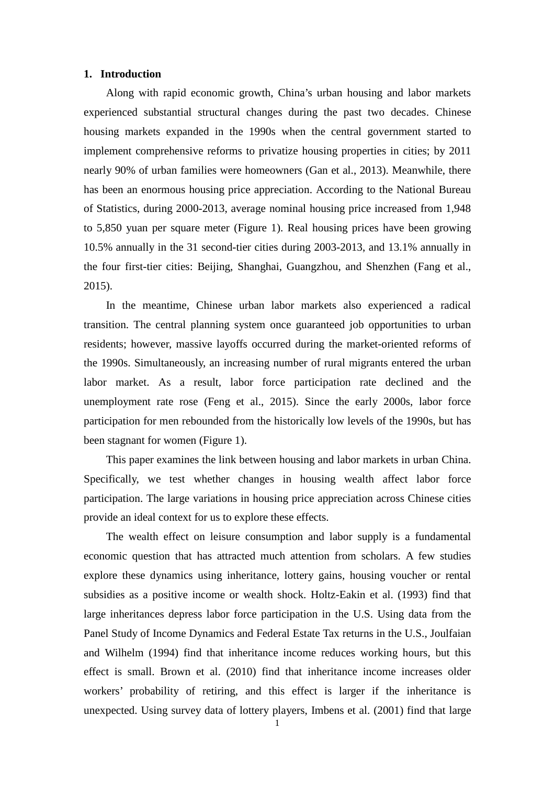#### **1. Introduction**

Along with rapid economic growth, China's urban housing and labor markets experienced substantial structural changes during the past two decades. Chinese housing markets expanded in the 1990s when the central government started to implement comprehensive reforms to privatize housing properties in cities; by 2011 nearly 90% of urban families were homeowners (Gan et al., 2013). Meanwhile, there has been an enormous housing price appreciation. According to the National Bureau of Statistics, during 2000-2013, average nominal housing price increased from 1,948 to 5,850 yuan per square meter (Figure 1). Real housing prices have been growing 10.5% annually in the 31 second-tier cities during 2003-2013, and 13.1% annually in the four first-tier cities: Beijing, Shanghai, Guangzhou, and Shenzhen (Fang et al., 2015).

In the meantime, Chinese urban labor markets also experienced a radical transition. The central planning system once guaranteed job opportunities to urban residents; however, massive layoffs occurred during the market-oriented reforms of the 1990s. Simultaneously, an increasing number of rural migrants entered the urban labor market. As a result, labor force participation rate declined and the unemployment rate rose (Feng et al., 2015). Since the early 2000s, labor force participation for men rebounded from the historically low levels of the 1990s, but has been stagnant for women (Figure 1).

This paper examines the link between housing and labor markets in urban China. Specifically, we test whether changes in housing wealth affect labor force participation. The large variations in housing price appreciation across Chinese cities provide an ideal context for us to explore these effects.

The wealth effect on leisure consumption and labor supply is a fundamental economic question that has attracted much attention from scholars. A few studies explore these dynamics using inheritance, lottery gains, housing voucher or rental subsidies as a positive income or wealth shock. Holtz-Eakin et al. (1993) find that large inheritances depress labor force participation in the U.S. Using data from the Panel Study of Income Dynamics and Federal Estate Tax returns in the U.S., Joulfaian and Wilhelm (1994) find that inheritance income reduces working hours, but this effect is small. Brown et al. (2010) find that inheritance income increases older workers' probability of retiring, and this effect is larger if the inheritance is unexpected. Using survey data of lottery players, Imbens et al. (2001) find that large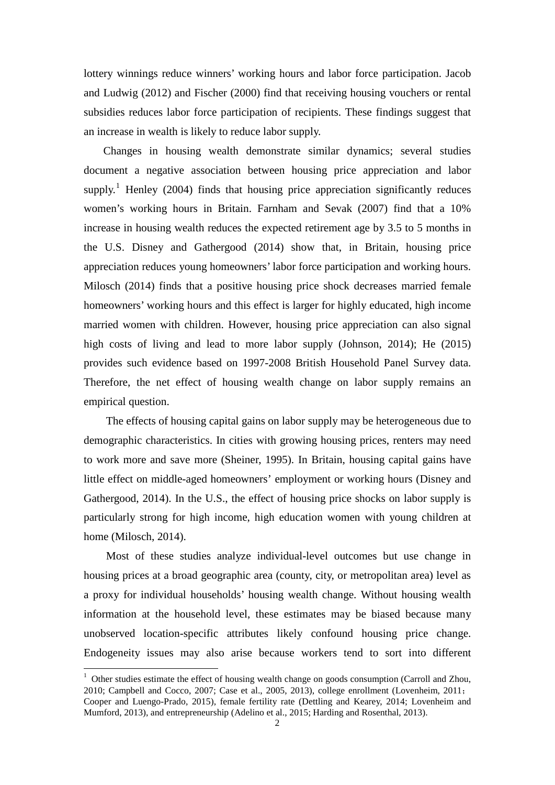lottery winnings reduce winners' working hours and labor force participation. Jacob and Ludwig (2012) and Fischer (2000) find that receiving housing vouchers or rental subsidies reduces labor force participation of recipients. These findings suggest that an increase in wealth is likely to reduce labor supply.

Changes in housing wealth demonstrate similar dynamics; several studies document a negative association between housing price appreciation and labor supply.<sup>[1](#page-4-0)</sup> Henley (2004) finds that housing price appreciation significantly reduces women's working hours in Britain. Farnham and Sevak (2007) find that a 10% increase in housing wealth reduces the expected retirement age by 3.5 to 5 months in the U.S. Disney and Gathergood (2014) show that, in Britain, housing price appreciation reduces young homeowners' labor force participation and working hours. Milosch (2014) finds that a positive housing price shock decreases married female homeowners' working hours and this effect is larger for highly educated, high income married women with children. However, housing price appreciation can also signal high costs of living and lead to more labor supply (Johnson, 2014); He (2015) provides such evidence based on 1997-2008 British Household Panel Survey data. Therefore, the net effect of housing wealth change on labor supply remains an empirical question.

 The effects of housing capital gains on labor supply may be heterogeneous due to demographic characteristics. In cities with growing housing prices, renters may need to work more and save more (Sheiner, 1995). In Britain, housing capital gains have little effect on middle-aged homeowners' employment or working hours (Disney and Gathergood, 2014). In the U.S., the effect of housing price shocks on labor supply is particularly strong for high income, high education women with young children at home (Milosch, 2014).

Most of these studies analyze individual-level outcomes but use change in housing prices at a broad geographic area (county, city, or metropolitan area) level as a proxy for individual households' housing wealth change. Without housing wealth information at the household level, these estimates may be biased because many unobserved location-specific attributes likely confound housing price change. Endogeneity issues may also arise because workers tend to sort into different

<span id="page-4-0"></span><sup>&</sup>lt;sup>1</sup> Other studies estimate the effect of housing wealth change on goods consumption (Carroll and Zhou, 2010; Campbell and Cocco, 2007; Case et al., 2005, 2013), college enrollment (Lovenheim, 2011; Cooper and Luengo-Prado, 2015), female fertility rate (Dettling and Kearey, 2014; Lovenheim and Mumford, 2013), and entrepreneurship (Adelino et al., 2015; Harding and Rosenthal, 2013).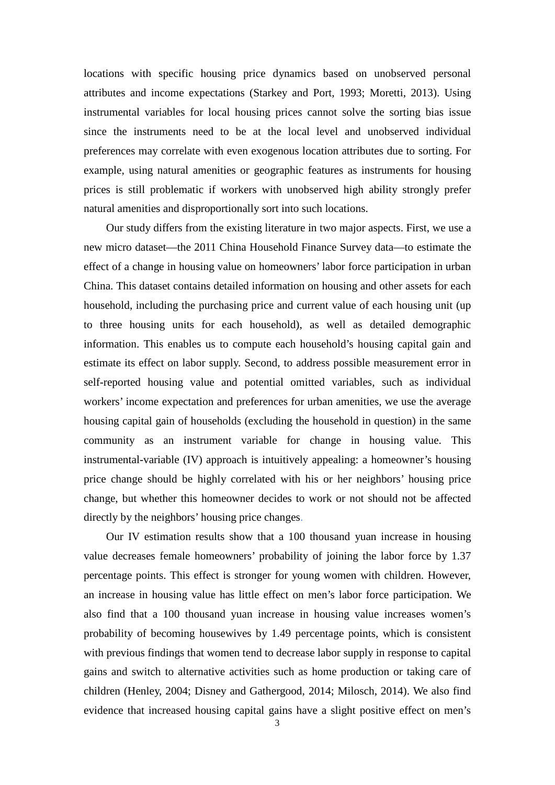locations with specific housing price dynamics based on unobserved personal attributes and income expectations (Starkey and Port, 1993; Moretti, 2013). Using instrumental variables for local housing prices cannot solve the sorting bias issue since the instruments need to be at the local level and unobserved individual preferences may correlate with even exogenous location attributes due to sorting. For example, using natural amenities or geographic features as instruments for housing prices is still problematic if workers with unobserved high ability strongly prefer natural amenities and disproportionally sort into such locations.

Our study differs from the existing literature in two major aspects. First, we use a new micro dataset—the 2011 China Household Finance Survey data—to estimate the effect of a change in housing value on homeowners' labor force participation in urban China. This dataset contains detailed information on housing and other assets for each household, including the purchasing price and current value of each housing unit (up to three housing units for each household), as well as detailed demographic information. This enables us to compute each household's housing capital gain and estimate its effect on labor supply. Second, to address possible measurement error in self-reported housing value and potential omitted variables, such as individual workers' income expectation and preferences for urban amenities, we use the average housing capital gain of households (excluding the household in question) in the same community as an instrument variable for change in housing value. This instrumental-variable (IV) approach is intuitively appealing: a homeowner's housing price change should be highly correlated with his or her neighbors' housing price change, but whether this homeowner decides to work or not should not be affected directly by the neighbors' housing price changes.

Our IV estimation results show that a 100 thousand yuan increase in housing value decreases female homeowners' probability of joining the labor force by 1.37 percentage points. This effect is stronger for young women with children. However, an increase in housing value has little effect on men's labor force participation. We also find that a 100 thousand yuan increase in housing value increases women's probability of becoming housewives by 1.49 percentage points, which is consistent with previous findings that women tend to decrease labor supply in response to capital gains and switch to alternative activities such as home production or taking care of children (Henley, 2004; Disney and Gathergood, 2014; Milosch, 2014). We also find evidence that increased housing capital gains have a slight positive effect on men's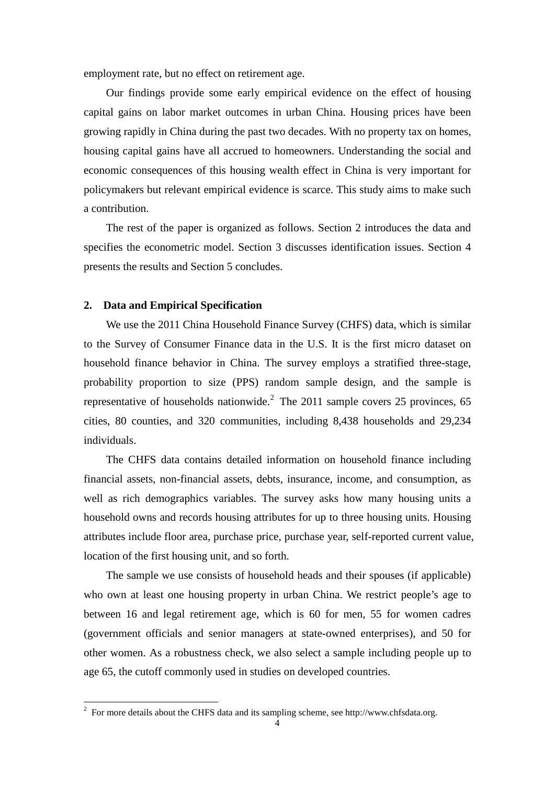employment rate, but no effect on retirement age.

Our findings provide some early empirical evidence on the effect of housing capital gains on labor market outcomes in urban China. Housing prices have been growing rapidly in China during the past two decades. With no property tax on homes, housing capital gains have all accrued to homeowners. Understanding the social and economic consequences of this housing wealth effect in China is very important for policymakers but relevant empirical evidence is scarce. This study aims to make such a contribution.

The rest of the paper is organized as follows. Section 2 introduces the data and specifies the econometric model. Section 3 discusses identification issues. Section 4 presents the results and Section 5 concludes.

#### **2. Data and Empirical Specification**

We use the 2011 China Household Finance Survey (CHFS) data, which is similar to the Survey of Consumer Finance data in the U.S. It is the first micro dataset on household finance behavior in China. The survey employs a stratified three-stage, probability proportion to size (PPS) random sample design, and the sample is representative of households nationwide.<sup>[2](#page-6-0)</sup> The 2011 sample covers 25 provinces, 65 cities, 80 counties, and 320 communities, including 8,438 households and 29,234 individuals.

The CHFS data contains detailed information on household finance including financial assets, non-financial assets, debts, insurance, income, and consumption, as well as rich demographics variables. The survey asks how many housing units a household owns and records housing attributes for up to three housing units. Housing attributes include floor area, purchase price, purchase year, self-reported current value, location of the first housing unit, and so forth.

The sample we use consists of household heads and their spouses (if applicable) who own at least one housing property in urban China. We restrict people's age to between 16 and legal retirement age, which is 60 for men, 55 for women cadres (government officials and senior managers at state-owned enterprises), and 50 for other women. As a robustness check, we also select a sample including people up to age 65, the cutoff commonly used in studies on developed countries.

<span id="page-6-0"></span> $2\degree$  For more details about the CHFS data and its sampling scheme, see http://www.chfsdata.org.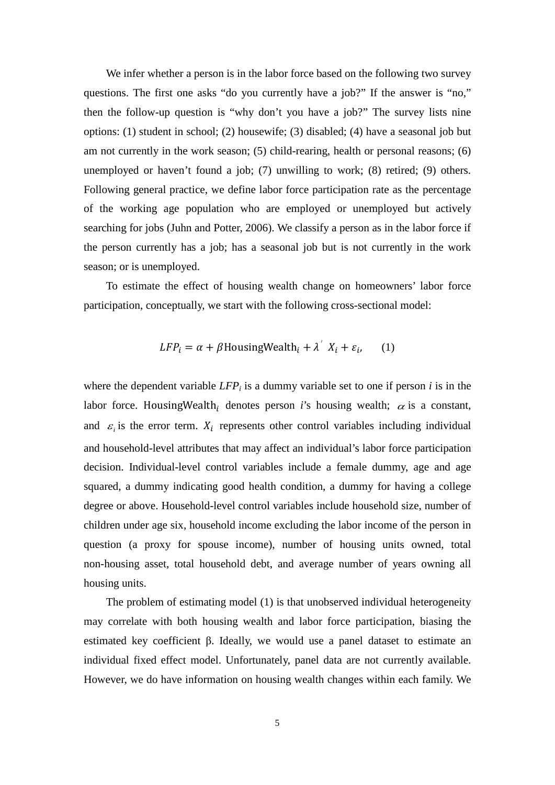We infer whether a person is in the labor force based on the following two survey questions. The first one asks "do you currently have a job?" If the answer is "no," then the follow-up question is "why don't you have a job?" The survey lists nine options: (1) student in school; (2) housewife; (3) disabled; (4) have a seasonal job but am not currently in the work season; (5) child-rearing, health or personal reasons; (6) unemployed or haven't found a job; (7) unwilling to work; (8) retired; (9) others. Following general practice, we define labor force participation rate as the percentage of the working age population who are employed or unemployed but actively searching for jobs (Juhn and Potter, 2006). We classify a person as in the labor force if the person currently has a job; has a seasonal job but is not currently in the work season; or is unemployed.

To estimate the effect of housing wealth change on homeowners' labor force participation, conceptually, we start with the following cross-sectional model:

$$
LFP_i = \alpha + \beta \text{HousingWealth}_i + \lambda^{\prime} X_i + \varepsilon_i, \qquad (1)
$$

where the dependent variable  $LFP_i$  is a dummy variable set to one if person *i* is in the labor force. HousingWealth<sub>i</sub> denotes person *i*'s housing wealth;  $\alpha$  is a constant, and  $\varepsilon$  is the error term.  $X_i$  represents other control variables including individual and household-level attributes that may affect an individual's labor force participation decision. Individual-level control variables include a female dummy, age and age squared, a dummy indicating good health condition, a dummy for having a college degree or above. Household-level control variables include household size, number of children under age six, household income excluding the labor income of the person in question (a proxy for spouse income), number of housing units owned, total non-housing asset, total household debt, and average number of years owning all housing units.

 The problem of estimating model (1) is that unobserved individual heterogeneity may correlate with both housing wealth and labor force participation, biasing the estimated key coefficient β. Ideally, we would use a panel dataset to estimate an individual fixed effect model. Unfortunately, panel data are not currently available. However, we do have information on housing wealth changes within each family. We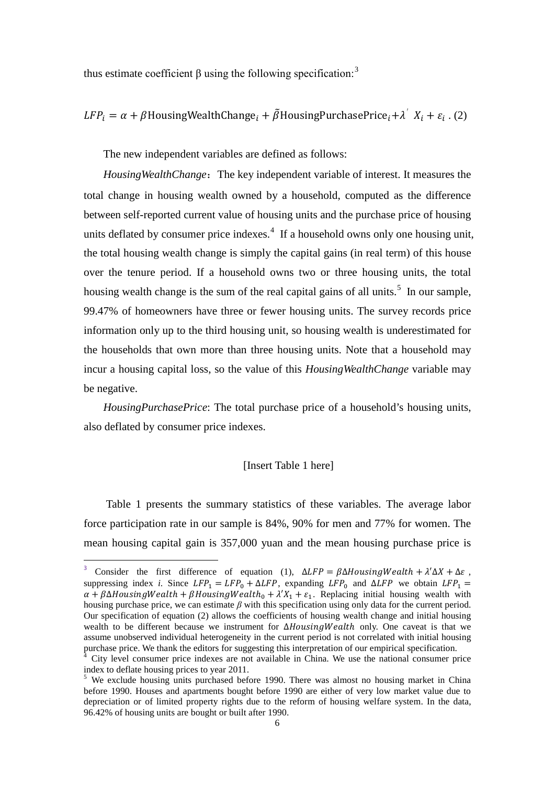thus estimate coefficient β using the following specification:  $3$ 

 $LFP_i = \alpha + \beta$ HousingWealthChange<sub>i</sub> +  $\tilde{\beta}$ HousingPurchasePrice<sub>i</sub> +  $\lambda'$   $X_i + \varepsilon_i$ . (2)

The new independent variables are defined as follows:

*HousingWealthChange*: The key independent variable of interest. It measures the total change in housing wealth owned by a household, computed as the difference between self-reported current value of housing units and the purchase price of housing units deflated by consumer price indexes. $4$  If a household owns only one housing unit, the total housing wealth change is simply the capital gains (in real term) of this house over the tenure period. If a household owns two or three housing units, the total housing wealth change is the sum of the real capital gains of all units.<sup>[5](#page-8-2)</sup> In our sample, 99.47% of homeowners have three or fewer housing units. The survey records price information only up to the third housing unit, so housing wealth is underestimated for the households that own more than three housing units. Note that a household may incur a housing capital loss, so the value of this *HousingWealthChange* variable may be negative.

*HousingPurchasePrice*: The total purchase price of a household's housing units, also deflated by consumer price indexes.

#### [Insert Table 1 here]

Table 1 presents the summary statistics of these variables. The average labor force participation rate in our sample is 84%, 90% for men and 77% for women. The mean housing capital gain is 357,000 yuan and the mean housing purchase price is

<span id="page-8-0"></span><sup>3</sup> Consider the first difference of equation (1),  $\Delta LFP = \beta \Delta H \omega \sin \theta W \omega t + \lambda' \Delta X + \Delta \varepsilon$ , suppressing index *i*. Since  $LFP_1 = LFP_0 + \Delta LFP$ , expanding  $LFP_0$  and  $\Delta LFP$  we obtain  $LFP_1 =$  $\alpha + \beta \Delta$ HousingWealth +  $\beta$ HousingWealth<sub>0</sub> +  $\lambda' X_1 + \varepsilon_1$ . Replacing initial housing wealth with housing purchase price, we can estimate *β* with this specification using only data for the current period. Our specification of equation (2) allows the coefficients of housing wealth change and initial housing wealth to be different because we instrument for ∆*HousingWealth* only. One caveat is that we assume unobserved individual heterogeneity in the current period is not correlated with initial housing purchase price. We thank the editors for suggesting this interpretation of our empirical specification.

<span id="page-8-1"></span>City level consumer price indexes are not available in China. We use the national consumer price index to deflate housing prices to year 2011.

<span id="page-8-2"></span><sup>&</sup>lt;sup>5</sup> We exclude housing units purchased before 1990. There was almost no housing market in China before 1990. Houses and apartments bought before 1990 are either of very low market value due to depreciation or of limited property rights due to the reform of housing welfare system. In the data, 96.42% of housing units are bought or built after 1990.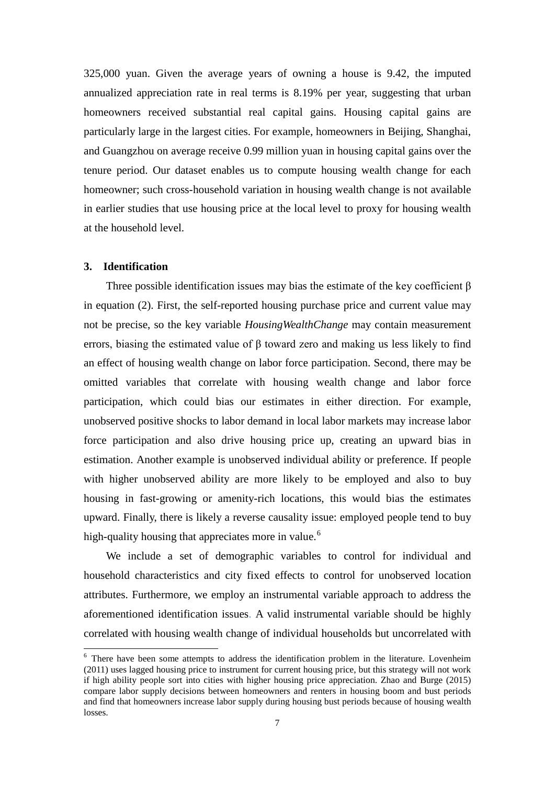325,000 yuan. Given the average years of owning a house is 9.42, the imputed annualized appreciation rate in real terms is 8.19% per year, suggesting that urban homeowners received substantial real capital gains. Housing capital gains are particularly large in the largest cities. For example, homeowners in Beijing, Shanghai, and Guangzhou on average receive 0.99 million yuan in housing capital gains over the tenure period. Our dataset enables us to compute housing wealth change for each homeowner; such cross-household variation in housing wealth change is not available in earlier studies that use housing price at the local level to proxy for housing wealth at the household level.

#### **3. Identification**

Three possible identification issues may bias the estimate of the key coefficient  $\beta$ in equation (2). First, the self-reported housing purchase price and current value may not be precise, so the key variable *HousingWealthChange* may contain measurement errors, biasing the estimated value of  $\beta$  toward zero and making us less likely to find an effect of housing wealth change on labor force participation. Second, there may be omitted variables that correlate with housing wealth change and labor force participation, which could bias our estimates in either direction. For example, unobserved positive shocks to labor demand in local labor markets may increase labor force participation and also drive housing price up, creating an upward bias in estimation. Another example is unobserved individual ability or preference. If people with higher unobserved ability are more likely to be employed and also to buy housing in fast-growing or amenity-rich locations, this would bias the estimates upward. Finally, there is likely a reverse causality issue: employed people tend to buy high-quality housing that appreciates more in value.<sup>[6](#page-9-0)</sup>

We include a set of demographic variables to control for individual and household characteristics and city fixed effects to control for unobserved location attributes. Furthermore, we employ an instrumental variable approach to address the aforementioned identification issues. A valid instrumental variable should be highly correlated with housing wealth change of individual households but uncorrelated with

<span id="page-9-0"></span><sup>&</sup>lt;sup>6</sup> There have been some attempts to address the identification problem in the literature. Lovenheim (2011) uses lagged housing price to instrument for current housing price, but this strategy will not work if high ability people sort into cities with higher housing price appreciation. Zhao and Burge (2015) compare labor supply decisions between homeowners and renters in housing boom and bust periods and find that homeowners increase labor supply during housing bust periods because of housing wealth losses.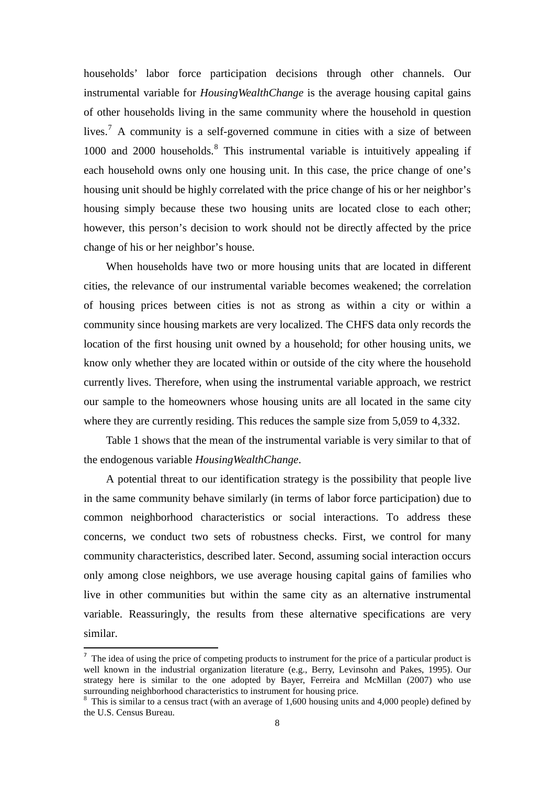households' labor force participation decisions through other channels. Our instrumental variable for *HousingWealthChange* is the average housing capital gains of other households living in the same community where the household in question lives.<sup>[7](#page-10-0)</sup> A community is a self-governed commune in cities with a size of between  $1000$  and  $2000$  households.<sup>[8](#page-10-1)</sup> This instrumental variable is intuitively appealing if each household owns only one housing unit. In this case, the price change of one's housing unit should be highly correlated with the price change of his or her neighbor's housing simply because these two housing units are located close to each other; however, this person's decision to work should not be directly affected by the price change of his or her neighbor's house.

When households have two or more housing units that are located in different cities, the relevance of our instrumental variable becomes weakened; the correlation of housing prices between cities is not as strong as within a city or within a community since housing markets are very localized. The CHFS data only records the location of the first housing unit owned by a household; for other housing units, we know only whether they are located within or outside of the city where the household currently lives. Therefore, when using the instrumental variable approach, we restrict our sample to the homeowners whose housing units are all located in the same city where they are currently residing. This reduces the sample size from 5,059 to 4,332.

Table 1 shows that the mean of the instrumental variable is very similar to that of the endogenous variable *HousingWealthChange*.

A potential threat to our identification strategy is the possibility that people live in the same community behave similarly (in terms of labor force participation) due to common neighborhood characteristics or social interactions. To address these concerns, we conduct two sets of robustness checks. First, we control for many community characteristics, described later. Second, assuming social interaction occurs only among close neighbors, we use average housing capital gains of families who live in other communities but within the same city as an alternative instrumental variable. Reassuringly, the results from these alternative specifications are very similar.

<span id="page-10-0"></span> $<sup>7</sup>$  The idea of using the price of competing products to instrument for the price of a particular product is</sup> well known in the industrial organization literature (e.g., Berry, Levinsohn and Pakes, 1995). Our strategy here is similar to the one adopted by Bayer, Ferreira and McMillan (2007) who use surrounding neighborhood characteristics to instrument for housing price.<br><sup>8</sup> This is similar to a census tract (with an average of 1,600 housing units and 4,000 people) defined by

<span id="page-10-1"></span>the U.S. Census Bureau.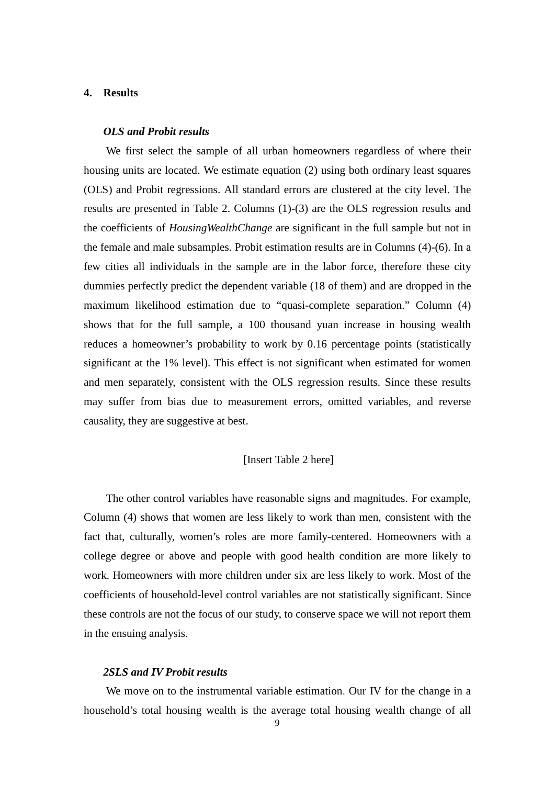#### **4. Results**

#### *OLS and Probit results*

We first select the sample of all urban homeowners regardless of where their housing units are located. We estimate equation (2) using both ordinary least squares (OLS) and Probit regressions. All standard errors are clustered at the city level. The results are presented in Table 2. Columns (1)-(3) are the OLS regression results and the coefficients of *HousingWealthChange* are significant in the full sample but not in the female and male subsamples. Probit estimation results are in Columns (4)-(6). In a few cities all individuals in the sample are in the labor force, therefore these city dummies perfectly predict the dependent variable (18 of them) and are dropped in the maximum likelihood estimation due to "quasi-complete separation." Column (4) shows that for the full sample, a 100 thousand yuan increase in housing wealth reduces a homeowner's probability to work by 0.16 percentage points (statistically significant at the 1% level). This effect is not significant when estimated for women and men separately, consistent with the OLS regression results. Since these results may suffer from bias due to measurement errors, omitted variables, and reverse causality, they are suggestive at best.

#### [Insert Table 2 here]

 The other control variables have reasonable signs and magnitudes. For example, Column (4) shows that women are less likely to work than men, consistent with the fact that, culturally, women's roles are more family-centered. Homeowners with a college degree or above and people with good health condition are more likely to work. Homeowners with more children under six are less likely to work. Most of the coefficients of household-level control variables are not statistically significant. Since these controls are not the focus of our study, to conserve space we will not report them in the ensuing analysis.

#### *2SLS and IV Probit results*

We move on to the instrumental variable estimation. Our IV for the change in a household's total housing wealth is the average total housing wealth change of all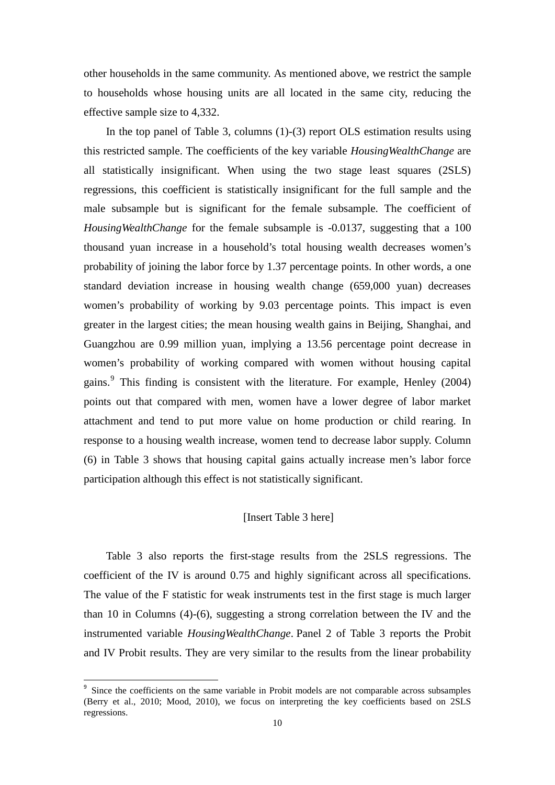other households in the same community. As mentioned above, we restrict the sample to households whose housing units are all located in the same city, reducing the effective sample size to 4,332.

In the top panel of Table 3, columns (1)-(3) report OLS estimation results using this restricted sample. The coefficients of the key variable *HousingWealthChange* are all statistically insignificant. When using the two stage least squares (2SLS) regressions, this coefficient is statistically insignificant for the full sample and the male subsample but is significant for the female subsample. The coefficient of *HousingWealthChange* for the female subsample is -0.0137, suggesting that a 100 thousand yuan increase in a household's total housing wealth decreases women's probability of joining the labor force by 1.37 percentage points. In other words, a one standard deviation increase in housing wealth change (659,000 yuan) decreases women's probability of working by 9.03 percentage points. This impact is even greater in the largest cities; the mean housing wealth gains in Beijing, Shanghai, and Guangzhou are 0.99 million yuan, implying a 13.56 percentage point decrease in women's probability of working compared with women without housing capital gains. [9](#page-12-0) This finding is consistent with the literature. For example, Henley (2004) points out that compared with men, women have a lower degree of labor market attachment and tend to put more value on home production or child rearing. In response to a housing wealth increase, women tend to decrease labor supply. Column (6) in Table 3 shows that housing capital gains actually increase men's labor force participation although this effect is not statistically significant.

#### [Insert Table 3 here]

Table 3 also reports the first-stage results from the 2SLS regressions. The coefficient of the IV is around 0.75 and highly significant across all specifications. The value of the F statistic for weak instruments test in the first stage is much larger than 10 in Columns (4)-(6), suggesting a strong correlation between the IV and the instrumented variable *HousingWealthChange*. Panel 2 of Table 3 reports the Probit and IV Probit results. They are very similar to the results from the linear probability

<span id="page-12-0"></span>Since the coefficients on the same variable in Probit models are not comparable across subsamples (Berry et al., 2010; Mood, 2010), we focus on interpreting the key coefficients based on 2SLS regressions.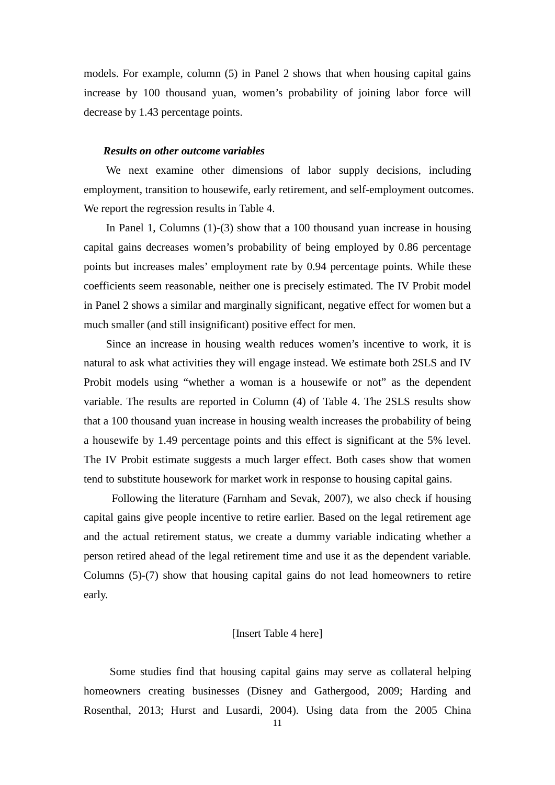models. For example, column (5) in Panel 2 shows that when housing capital gains increase by 100 thousand yuan, women's probability of joining labor force will decrease by 1.43 percentage points.

#### *Results on other outcome variables*

We next examine other dimensions of labor supply decisions, including employment, transition to housewife, early retirement, and self-employment outcomes. We report the regression results in Table 4.

In Panel 1, Columns (1)-(3) show that a 100 thousand yuan increase in housing capital gains decreases women's probability of being employed by 0.86 percentage points but increases males' employment rate by 0.94 percentage points. While these coefficients seem reasonable, neither one is precisely estimated. The IV Probit model in Panel 2 shows a similar and marginally significant, negative effect for women but a much smaller (and still insignificant) positive effect for men.

Since an increase in housing wealth reduces women's incentive to work, it is natural to ask what activities they will engage instead. We estimate both 2SLS and IV Probit models using "whether a woman is a housewife or not" as the dependent variable. The results are reported in Column (4) of Table 4. The 2SLS results show that a 100 thousand yuan increase in housing wealth increases the probability of being a housewife by 1.49 percentage points and this effect is significant at the 5% level. The IV Probit estimate suggests a much larger effect. Both cases show that women tend to substitute housework for market work in response to housing capital gains.

Following the literature (Farnham and Sevak, 2007), we also check if housing capital gains give people incentive to retire earlier. Based on the legal retirement age and the actual retirement status, we create a dummy variable indicating whether a person retired ahead of the legal retirement time and use it as the dependent variable. Columns (5)-(7) show that housing capital gains do not lead homeowners to retire early.

#### [Insert Table 4 here]

Some studies find that housing capital gains may serve as collateral helping homeowners creating businesses (Disney and Gathergood, 2009; Harding and Rosenthal, 2013; Hurst and Lusardi, 2004). Using data from the 2005 China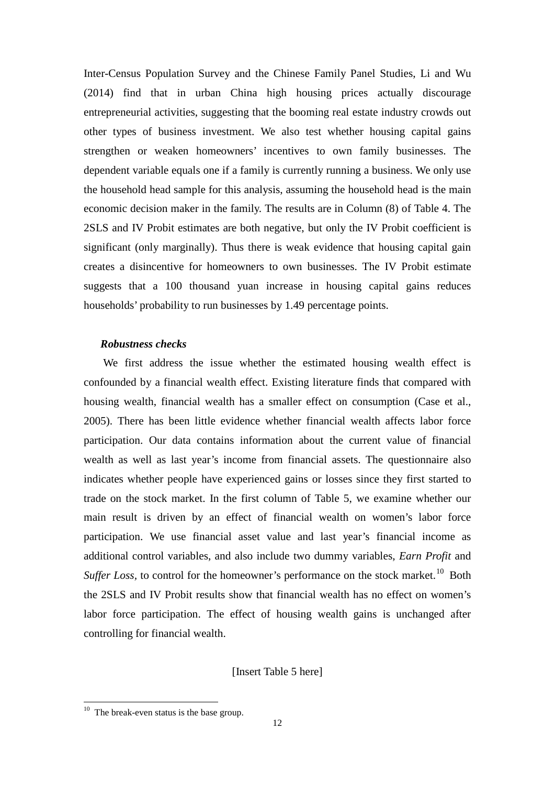Inter-Census Population Survey and the Chinese Family Panel Studies, Li and Wu (2014) find that in urban China high housing prices actually discourage entrepreneurial activities, suggesting that the booming real estate industry crowds out other types of business investment. We also test whether housing capital gains strengthen or weaken homeowners' incentives to own family businesses. The dependent variable equals one if a family is currently running a business. We only use the household head sample for this analysis, assuming the household head is the main economic decision maker in the family. The results are in Column (8) of Table 4. The 2SLS and IV Probit estimates are both negative, but only the IV Probit coefficient is significant (only marginally). Thus there is weak evidence that housing capital gain creates a disincentive for homeowners to own businesses. The IV Probit estimate suggests that a 100 thousand yuan increase in housing capital gains reduces households' probability to run businesses by 1.49 percentage points.

#### *Robustness checks*

We first address the issue whether the estimated housing wealth effect is confounded by a financial wealth effect. Existing literature finds that compared with housing wealth, financial wealth has a smaller effect on consumption (Case et al., 2005). There has been little evidence whether financial wealth affects labor force participation. Our data contains information about the current value of financial wealth as well as last year's income from financial assets. The questionnaire also indicates whether people have experienced gains or losses since they first started to trade on the stock market. In the first column of Table 5, we examine whether our main result is driven by an effect of financial wealth on women's labor force participation. We use financial asset value and last year's financial income as additional control variables, and also include two dummy variables, *Earn Profit* and Suffer Loss, to control for the homeowner's performance on the stock market.<sup>[10](#page-14-0)</sup> Both the 2SLS and IV Probit results show that financial wealth has no effect on women's labor force participation. The effect of housing wealth gains is unchanged after controlling for financial wealth.

[Insert Table 5 here]

<span id="page-14-0"></span> $10$  The break-even status is the base group.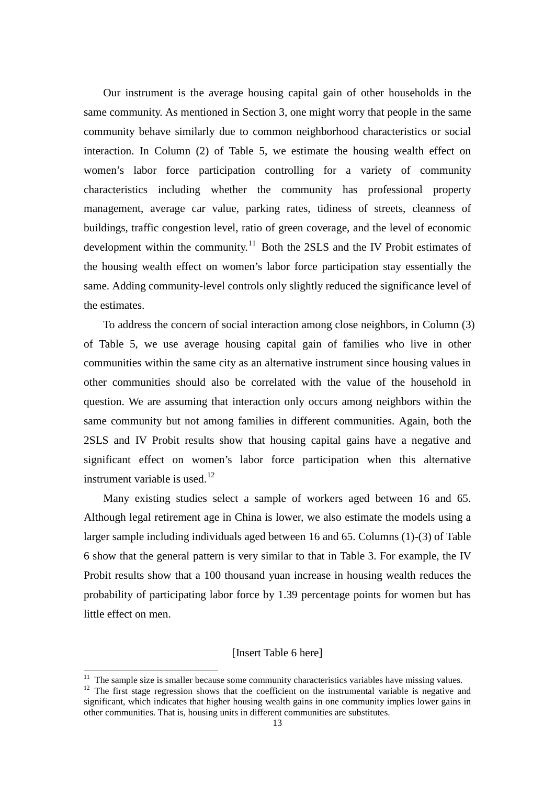Our instrument is the average housing capital gain of other households in the same community. As mentioned in Section 3, one might worry that people in the same community behave similarly due to common neighborhood characteristics or social interaction. In Column (2) of Table 5, we estimate the housing wealth effect on women's labor force participation controlling for a variety of community characteristics including whether the community has professional property management, average car value, parking rates, tidiness of streets, cleanness of buildings, traffic congestion level, ratio of green coverage, and the level of economic development within the community.<sup>[11](#page-15-0)</sup> Both the 2SLS and the IV Probit estimates of the housing wealth effect on women's labor force participation stay essentially the same. Adding community-level controls only slightly reduced the significance level of the estimates.

To address the concern of social interaction among close neighbors, in Column (3) of Table 5, we use average housing capital gain of families who live in other communities within the same city as an alternative instrument since housing values in other communities should also be correlated with the value of the household in question. We are assuming that interaction only occurs among neighbors within the same community but not among families in different communities. Again, both the 2SLS and IV Probit results show that housing capital gains have a negative and significant effect on women's labor force participation when this alternative instrument variable is used.<sup>[12](#page-15-1)</sup>

Many existing studies select a sample of workers aged between 16 and 65. Although legal retirement age in China is lower, we also estimate the models using a larger sample including individuals aged between 16 and 65. Columns (1)-(3) of Table 6 show that the general pattern is very similar to that in Table 3. For example, the IV Probit results show that a 100 thousand yuan increase in housing wealth reduces the probability of participating labor force by 1.39 percentage points for women but has little effect on men.

[Insert Table 6 here]

<span id="page-15-1"></span><span id="page-15-0"></span><sup>&</sup>lt;sup>11</sup> The sample size is smaller because some community characteristics variables have missing values.<br><sup>12</sup> The first stage regression shows that the coefficient on the instrumental variable is negative and significant, which indicates that higher housing wealth gains in one community implies lower gains in other communities. That is, housing units in different communities are substitutes.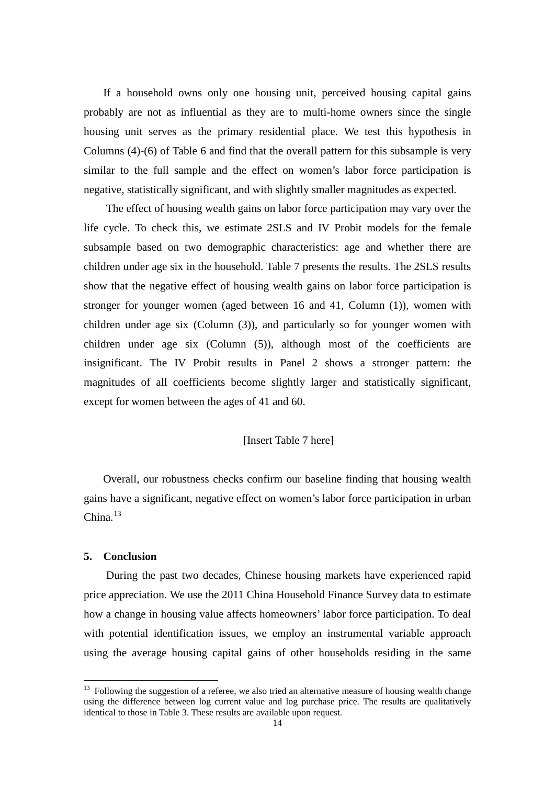If a household owns only one housing unit, perceived housing capital gains probably are not as influential as they are to multi-home owners since the single housing unit serves as the primary residential place. We test this hypothesis in Columns (4)-(6) of Table 6 and find that the overall pattern for this subsample is very similar to the full sample and the effect on women's labor force participation is negative, statistically significant, and with slightly smaller magnitudes as expected.

The effect of housing wealth gains on labor force participation may vary over the life cycle. To check this, we estimate 2SLS and IV Probit models for the female subsample based on two demographic characteristics: age and whether there are children under age six in the household. Table 7 presents the results. The 2SLS results show that the negative effect of housing wealth gains on labor force participation is stronger for younger women (aged between 16 and 41, Column (1)), women with children under age six (Column (3)), and particularly so for younger women with children under age six (Column (5)), although most of the coefficients are insignificant. The IV Probit results in Panel 2 shows a stronger pattern: the magnitudes of all coefficients become slightly larger and statistically significant, except for women between the ages of 41 and 60.

#### [Insert Table 7 here]

Overall, our robustness checks confirm our baseline finding that housing wealth gains have a significant, negative effect on women's labor force participation in urban  $China.<sup>13</sup>$  $China.<sup>13</sup>$  $China.<sup>13</sup>$ 

#### **5. Conclusion**

During the past two decades, Chinese housing markets have experienced rapid price appreciation. We use the 2011 China Household Finance Survey data to estimate how a change in housing value affects homeowners' labor force participation. To deal with potential identification issues, we employ an instrumental variable approach using the average housing capital gains of other households residing in the same

<span id="page-16-0"></span> $13$  Following the suggestion of a referee, we also tried an alternative measure of housing wealth change using the difference between log current value and log purchase price. The results are qualitatively identical to those in Table 3. These results are available upon request.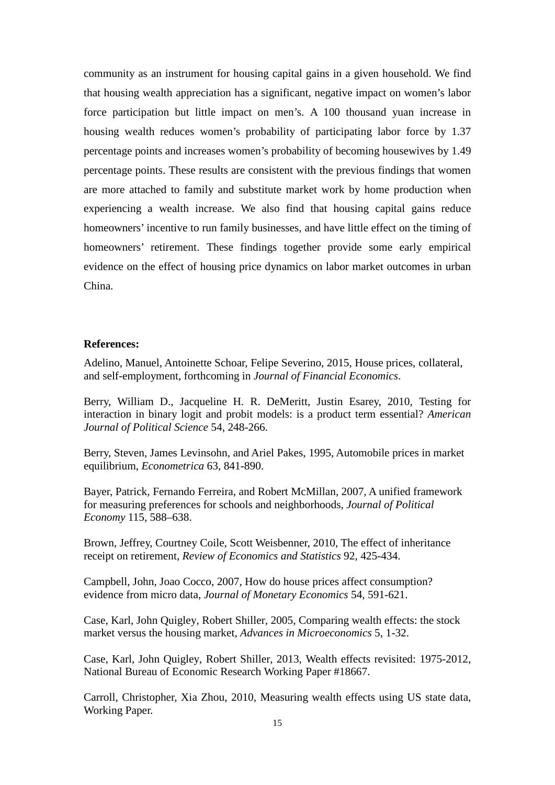community as an instrument for housing capital gains in a given household. We find that housing wealth appreciation has a significant, negative impact on women's labor force participation but little impact on men's. A 100 thousand yuan increase in housing wealth reduces women's probability of participating labor force by 1.37 percentage points and increases women's probability of becoming housewives by 1.49 percentage points. These results are consistent with the previous findings that women are more attached to family and substitute market work by home production when experiencing a wealth increase. We also find that housing capital gains reduce homeowners' incentive to run family businesses, and have little effect on the timing of homeowners' retirement. These findings together provide some early empirical evidence on the effect of housing price dynamics on labor market outcomes in urban China.

#### **References:**

Adelino, Manuel, Antoinette Schoar, Felipe Severino, 2015, House prices, collateral, and self-employment, forthcoming in *Journal of Financial Economics*.

Berry, William D., Jacqueline H. R. DeMeritt, Justin Esarey, 2010, Testing for interaction in binary logit and probit models: is a product term essential? *American Journal of Political Science* 54, 248-266.

Berry, Steven, James Levinsohn, and Ariel Pakes, 1995, Automobile prices in market equilibrium, *Econometrica* 63, 841-890.

Bayer, Patrick, Fernando Ferreira, and Robert McMillan, 2007, A unified framework for measuring preferences for schools and neighborhoods, *Journal of Political Economy* 115, 588–638.

Brown, Jeffrey, Courtney Coile, Scott Weisbenner, 2010, The effect of inheritance receipt on retirement, *Review of Economics and Statistics* 92, 425-434.

Campbell, John, Joao Cocco, 2007, How do house prices affect consumption? evidence from micro data, *Journal of Monetary Economics* 54, 591-621.

Case, Karl, John Quigley, Robert Shiller, 2005, Comparing wealth effects: the stock market versus the housing market, *Advances in Microeconomics* 5, 1-32.

Case, Karl, John Quigley, Robert Shiller, 2013, Wealth effects revisited: 1975-2012, National Bureau of Economic Research Working Paper #18667.

Carroll, Christopher, Xia Zhou, 2010, Measuring wealth effects using US state data, Working Paper.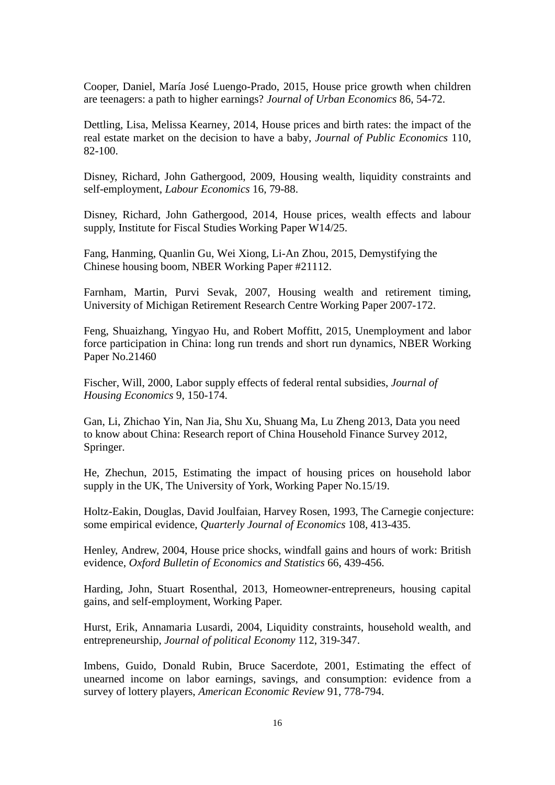Cooper, Daniel, María José Luengo-Prado, 2015, House price growth when children are teenagers: a path to higher earnings? *Journal of Urban Economics* 86, 54-72.

Dettling, Lisa, Melissa Kearney, 2014, House prices and birth rates: the impact of the real estate market on the decision to have a baby, *Journal of Public Economics* 110, 82-100.

Disney, Richard, John Gathergood, 2009, Housing wealth, liquidity constraints and self-employment, *Labour Economics* 16, 79-88.

Disney, Richard, John Gathergood, 2014, House prices, wealth effects and labour supply, Institute for Fiscal Studies Working Paper W14/25.

Fang, Hanming, Quanlin Gu, Wei Xiong, Li-An Zhou, 2015, Demystifying the Chinese housing boom, NBER Working Paper #21112.

Farnham, Martin, Purvi Sevak, 2007, Housing wealth and retirement timing, University of Michigan Retirement Research Centre Working Paper 2007-172.

Feng, Shuaizhang, Yingyao Hu, and Robert Moffitt, 2015, Unemployment and labor force participation in China: long run trends and short run dynamics, NBER Working Paper No.21460

Fischer, Will, 2000, Labor supply effects of federal rental subsidies, *Journal of Housing Economics* 9, 150-174.

Gan, Li, Zhichao Yin, Nan Jia, Shu Xu, Shuang Ma, Lu Zheng 2013, Data you need to know about China: Research report of China Household Finance Survey 2012, Springer.

He, Zhechun, 2015, Estimating the impact of housing prices on household labor supply in the UK, The University of York, Working Paper No.15/19.

Holtz-Eakin, Douglas, David Joulfaian, Harvey Rosen, 1993, The Carnegie conjecture: some empirical evidence, *Quarterly Journal of Economics* 108, 413-435.

Henley, Andrew, 2004, House price shocks, windfall gains and hours of work: British evidence, *Oxford Bulletin of Economics and Statistics* 66, 439-456.

Harding, John, Stuart Rosenthal, 2013, Homeowner-entrepreneurs, housing capital gains, and self-employment, Working Paper.

Hurst, Erik, Annamaria Lusardi, 2004, Liquidity constraints, household wealth, and entrepreneurship, *Journal of political Economy* 112, 319-347.

Imbens, Guido, Donald Rubin, Bruce Sacerdote, 2001, Estimating the effect of unearned income on labor earnings, savings, and consumption: evidence from a survey of lottery players, *American Economic Review* 91, 778-794.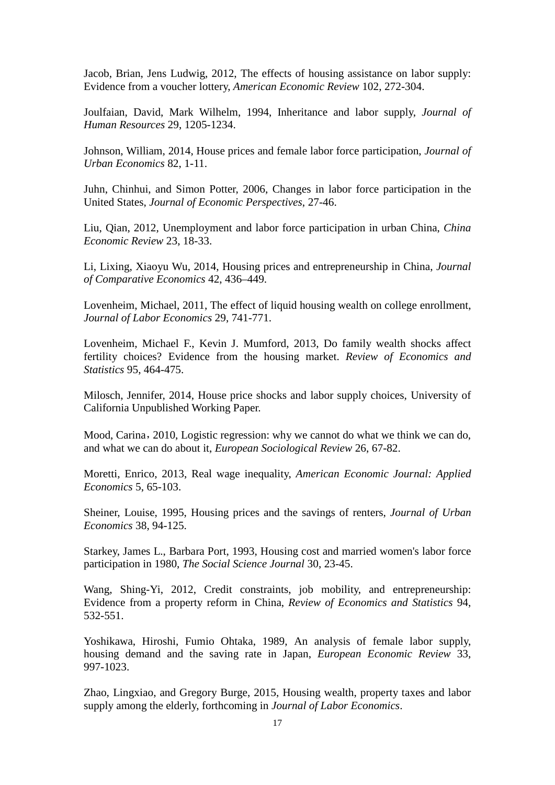Jacob, Brian, Jens Ludwig, 2012, The effects of housing assistance on labor supply: Evidence from a voucher lottery, *American Economic Review* 102, 272-304.

Joulfaian, David, Mark Wilhelm, 1994, Inheritance and labor supply, *Journal of Human Resources* 29, 1205-1234.

Johnson, William, 2014, House prices and female labor force participation, *Journal of Urban Economics* 82, 1-11.

Juhn, Chinhui, and Simon Potter, 2006, Changes in labor force participation in the United States, *Journal of Economic Perspectives*, 27-46.

Liu, Qian, 2012, Unemployment and labor force participation in urban China, *China Economic Review* 23, 18-33.

Li, Lixing, Xiaoyu Wu, 2014, Housing prices and entrepreneurship in China, *Journal of Comparative Economics* 42, 436–449.

Lovenheim, Michael, 2011, The effect of liquid housing wealth on college enrollment, *Journal of Labor Economics* 29, 741-771.

Lovenheim, Michael F., Kevin J. Mumford, 2013, Do family wealth shocks affect fertility choices? Evidence from the housing market. *Review of Economics and Statistics* 95, 464-475.

Milosch, Jennifer, 2014, House price shocks and labor supply choices, University of California Unpublished Working Paper.

Mood, Carina, 2010, Logistic regression: why we cannot do what we think we can do, and what we can do about it, *European Sociological Review* 26, 67-82.

Moretti, Enrico, 2013, Real wage inequality, *American Economic Journal: Applied Economics* 5, 65-103.

Sheiner, Louise, 1995, Housing prices and the savings of renters, *Journal of Urban Economics* 38, 94-125.

Starkey, James L., Barbara Port, 1993, Housing cost and married women's labor force participation in 1980, *The Social Science Journal* 30, 23-45.

Wang, Shing-Yi, 2012, Credit constraints, job mobility, and entrepreneurship: Evidence from a property reform in China, *Review of Economics and Statistics* 94, 532-551.

Yoshikawa, Hiroshi, Fumio Ohtaka, 1989, An analysis of female labor supply, housing demand and the saving rate in Japan, *European Economic Review* 33, 997-1023.

Zhao, Lingxiao, and Gregory Burge, 2015, Housing wealth, property taxes and labor supply among the elderly, forthcoming in *Journal of Labor Economics*.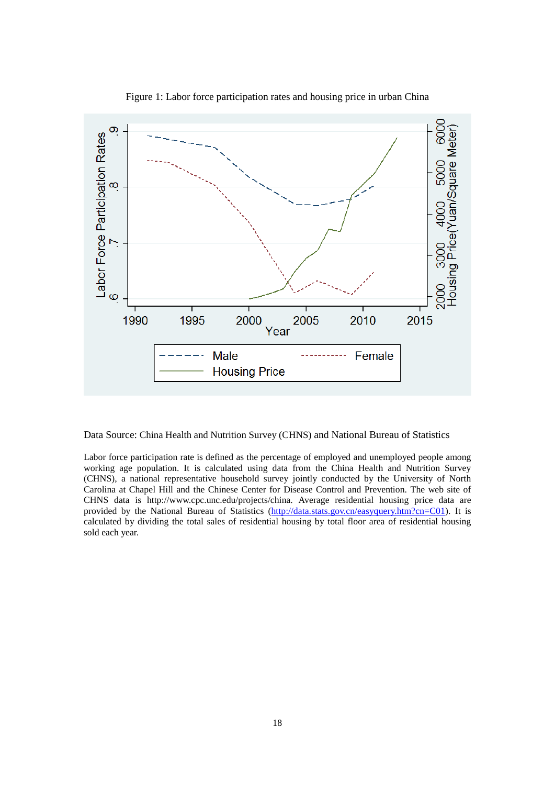

Figure 1: Labor force participation rates and housing price in urban China

Data Source: China Health and Nutrition Survey (CHNS) and National Bureau of Statistics

Labor force participation rate is defined as the percentage of employed and unemployed people among working age population. It is calculated using data from the China Health and Nutrition Survey (CHNS), a national representative household survey jointly conducted by the University of North Carolina at Chapel Hill and the Chinese Center for Disease Control and Prevention. The web site of CHNS data is http://www.cpc.unc.edu/projects/china. Average residential housing price data are provided by the National Bureau of Statistics [\(http://data.stats.gov.cn/easyquery.htm?cn=C01\)](http://data.stats.gov.cn/easyquery.htm?cn=C01). It is calculated by dividing the total sales of residential housing by total floor area of residential housing sold each year.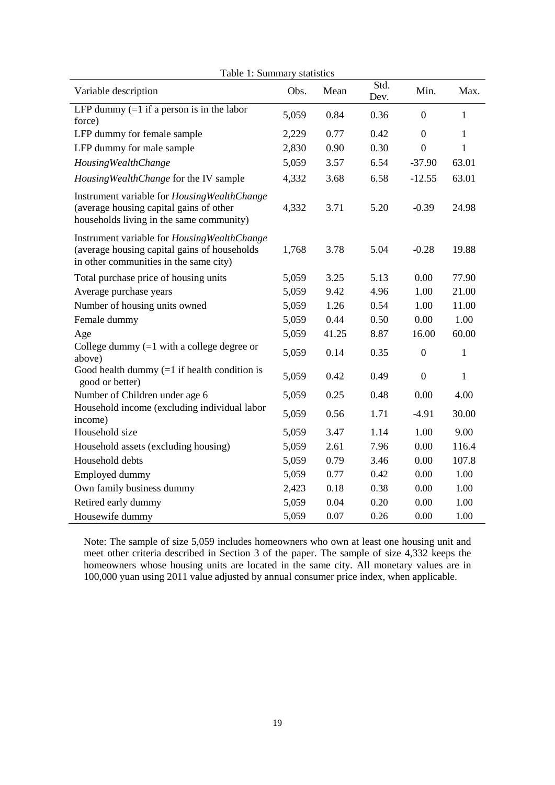| r aoic r. Duinnim<br>Variable description                                                                                               | Obs.  | <i><b>DURLIDELUD</b></i><br>Mean | Std.<br>Dev. | Min.             | Max.         |
|-----------------------------------------------------------------------------------------------------------------------------------------|-------|----------------------------------|--------------|------------------|--------------|
| LFP dummy $(=1$ if a person is in the labor<br>force)                                                                                   | 5,059 | 0.84                             | 0.36         | $\theta$         | 1            |
| LFP dummy for female sample                                                                                                             | 2,229 | 0.77                             | 0.42         | $\overline{0}$   | $\mathbf{1}$ |
| LFP dummy for male sample                                                                                                               | 2,830 | 0.90                             | 0.30         | $\mathbf{0}$     | 1            |
| <b>Housing Wealth Change</b>                                                                                                            | 5,059 | 3.57                             | 6.54         | $-37.90$         | 63.01        |
| Housing Wealth Change for the IV sample                                                                                                 | 4,332 | 3.68                             | 6.58         | $-12.55$         | 63.01        |
| Instrument variable for Housing Wealth Change<br>(average housing capital gains of other<br>households living in the same community)    | 4,332 | 3.71                             | 5.20         | $-0.39$          | 24.98        |
| Instrument variable for Housing Wealth Change<br>(average housing capital gains of households<br>in other communities in the same city) | 1,768 | 3.78                             | 5.04         | $-0.28$          | 19.88        |
| Total purchase price of housing units                                                                                                   | 5,059 | 3.25                             | 5.13         | 0.00             | 77.90        |
| Average purchase years                                                                                                                  | 5,059 | 9.42                             | 4.96         | 1.00             | 21.00        |
| Number of housing units owned                                                                                                           | 5,059 | 1.26                             | 0.54         | 1.00             | 11.00        |
| Female dummy                                                                                                                            | 5,059 | 0.44                             | 0.50         | 0.00             | 1.00         |
| Age                                                                                                                                     | 5,059 | 41.25                            | 8.87         | 16.00            | 60.00        |
| College dummy $(=1$ with a college degree or<br>above)                                                                                  | 5,059 | 0.14                             | 0.35         | $\boldsymbol{0}$ | $\mathbf{1}$ |
| Good health dummy $(=1$ if health condition is<br>good or better)                                                                       | 5,059 | 0.42                             | 0.49         | $\boldsymbol{0}$ | 1            |
| Number of Children under age 6                                                                                                          | 5,059 | 0.25                             | 0.48         | 0.00             | 4.00         |
| Household income (excluding individual labor<br>income)                                                                                 | 5,059 | 0.56                             | 1.71         | $-4.91$          | 30.00        |
| Household size                                                                                                                          | 5,059 | 3.47                             | 1.14         | 1.00             | 9.00         |
| Household assets (excluding housing)                                                                                                    | 5,059 | 2.61                             | 7.96         | 0.00             | 116.4        |
| Household debts                                                                                                                         | 5,059 | 0.79                             | 3.46         | 0.00             | 107.8        |
| Employed dummy                                                                                                                          | 5,059 | 0.77                             | 0.42         | 0.00             | 1.00         |
| Own family business dummy                                                                                                               | 2,423 | 0.18                             | 0.38         | 0.00             | 1.00         |
| Retired early dummy                                                                                                                     | 5,059 | 0.04                             | 0.20         | 0.00             | 1.00         |
| Housewife dummy                                                                                                                         | 5,059 | 0.07                             | 0.26         | 0.00             | 1.00         |

Table 1: Summary statistics

Note: The sample of size 5,059 includes homeowners who own at least one housing unit and meet other criteria described in Section 3 of the paper. The sample of size 4,332 keeps the homeowners whose housing units are located in the same city. All monetary values are in 100,000 yuan using 2011 value adjusted by annual consumer price index, when applicable.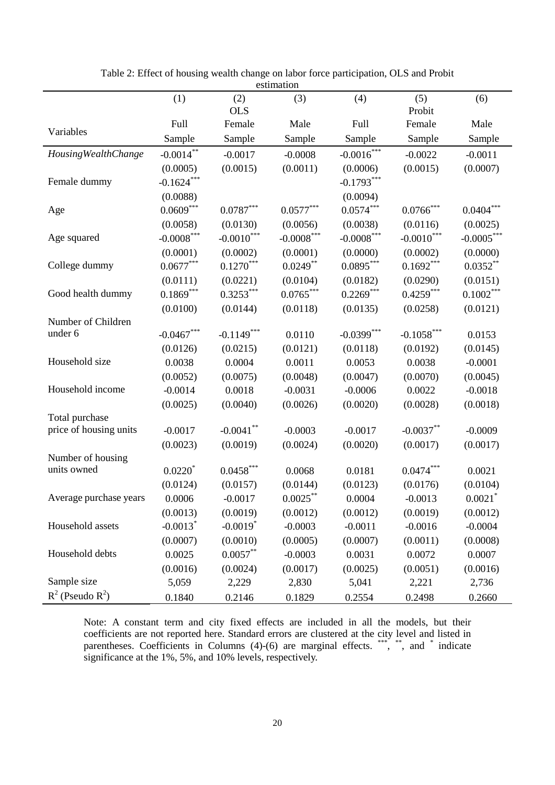|                        |                        |                        | сэйшанын                |               |                         |                  |
|------------------------|------------------------|------------------------|-------------------------|---------------|-------------------------|------------------|
|                        | (1)                    | (2)                    | (3)                     | (4)           | (5)                     | (6)              |
|                        |                        | <b>OLS</b>             |                         |               | Probit                  |                  |
| Variables              | <b>Full</b>            | Female                 | Male                    | Full          | Female                  | Male             |
|                        | Sample                 | Sample                 | Sample                  | Sample        | Sample                  | Sample           |
| Housing Wealth Change  | $-0.0014***$           | $-0.0017$              | $-0.0008$               | $-0.0016***$  | $-0.0022$               | $-0.0011$        |
|                        | (0.0005)               | (0.0015)               | (0.0011)                | (0.0006)      | (0.0015)                | (0.0007)         |
| Female dummy           | $-0.1624***$           |                        |                         | $-0.1793***$  |                         |                  |
|                        | (0.0088)               |                        |                         | (0.0094)      |                         |                  |
| Age                    | $0.0609***$            | $0.0787***$            | $0.0577^{\ast\ast\ast}$ | $0.0574***$   | $0.0766^{\ast\ast\ast}$ | $0.0404^{***}\,$ |
|                        | (0.0058)               | (0.0130)               | (0.0056)                | (0.0038)      | (0.0116)                | (0.0025)         |
| Age squared            | $-0.0008^{***}\,$      | $-0.0010***$           | $-0.0008***$            | $-0.0008***$  | $-0.0010***$            | $-0.0005***$     |
|                        | (0.0001)               | (0.0002)               | (0.0001)                | (0.0000)      | (0.0002)                | (0.0000)         |
| College dummy          | $0.0677***$            | $0.1270***$            | $0.0249**$              | $0.0895***$   | $0.1692***$             | $0.0352**$       |
|                        | (0.0111)               | (0.0221)               | (0.0104)                | (0.0182)      | (0.0290)                | (0.0151)         |
| Good health dummy      | $0.1869***$            | $0.3253***$            | $0.0765***$             | $0.2269***$   | $0.4259***$             | $0.1002***$      |
|                        | (0.0100)               | (0.0144)               | (0.0118)                | (0.0135)      | (0.0258)                | (0.0121)         |
| Number of Children     |                        |                        |                         |               |                         |                  |
| under 6                | $-0.0467***$           | $-0.1149***$           | 0.0110                  | $-0.0399$ *** | $-0.1058***$            | 0.0153           |
|                        | (0.0126)               | (0.0215)               | (0.0121)                | (0.0118)      | (0.0192)                | (0.0145)         |
| Household size         | 0.0038                 | 0.0004                 | 0.0011                  | 0.0053        | 0.0038                  | $-0.0001$        |
|                        | (0.0052)               | (0.0075)               | (0.0048)                | (0.0047)      | (0.0070)                | (0.0045)         |
| Household income       | $-0.0014$              | 0.0018                 | $-0.0031$               | $-0.0006$     | 0.0022                  | $-0.0018$        |
|                        | (0.0025)               | (0.0040)               | (0.0026)                | (0.0020)      | (0.0028)                | (0.0018)         |
| Total purchase         |                        |                        |                         |               |                         |                  |
| price of housing units | $-0.0017$              | $-0.0041$ **           | $-0.0003$               | $-0.0017$     | $-0.0037**$             | $-0.0009$        |
|                        | (0.0023)               | (0.0019)               | (0.0024)                | (0.0020)      | (0.0017)                | (0.0017)         |
| Number of housing      |                        |                        |                         |               |                         |                  |
| units owned            | $0.0220^*$             | $0.0458***$            | 0.0068                  | 0.0181        | $0.0474***$             | 0.0021           |
|                        | (0.0124)               | (0.0157)               | (0.0144)                | (0.0123)      | (0.0176)                | (0.0104)         |
| Average purchase years | 0.0006                 | $-0.0017$              | $0.0025***$             | 0.0004        | $-0.0013$               | 0.0021           |
|                        | (0.0013)               | (0.0019)               | (0.0012)                | (0.0012)      | (0.0019)                | (0.0012)         |
| Household assets       | $-0.0013$ <sup>*</sup> | $-0.0019$ <sup>*</sup> | $-0.0003$               | $-0.0011$     | $-0.0016$               | $-0.0004$        |
|                        | (0.0007)               | (0.0010)               | (0.0005)                | (0.0007)      | (0.0011)                | (0.0008)         |
| Household debts        | 0.0025                 | $0.0057**$             | $-0.0003$               | 0.0031        | 0.0072                  | 0.0007           |
|                        | (0.0016)               | (0.0024)               | (0.0017)                | (0.0025)      | (0.0051)                | (0.0016)         |
| Sample size            | 5,059                  | 2,229                  | 2,830                   | 5,041         | 2,221                   | 2,736            |
| $R^2$ (Pseudo $R^2$ )  | 0.1840                 | 0.2146                 | 0.1829                  | 0.2554        | 0.2498                  | 0.2660           |

Table 2: Effect of housing wealth change on labor force participation, OLS and Probit estimation

Note: A constant term and city fixed effects are included in all the models, but their coefficients are not reported here. Standard errors are clustered at the city level and listed in parentheses. Coefficients in Columns (4)-(6) are marginal effects. \*\*\*, \*\*, and \* indicate significance at the 1%, 5%, and 10% levels, respectively.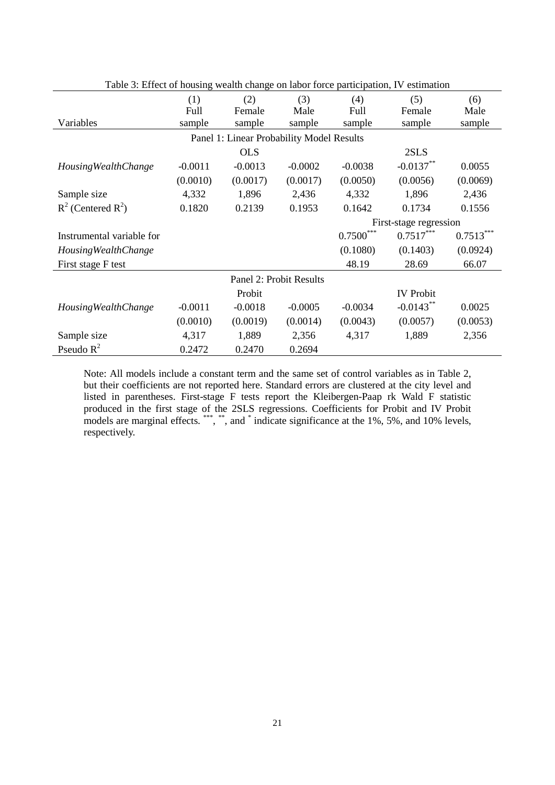| Table 3: Effect of housing wealth change on labor force participation, IV estimation |           |                                           |                         |                           |                  |             |  |
|--------------------------------------------------------------------------------------|-----------|-------------------------------------------|-------------------------|---------------------------|------------------|-------------|--|
|                                                                                      | (1)       | (2)                                       | (3)                     | (4)                       | (5)              | (6)         |  |
|                                                                                      | Full      | Female                                    | Male                    | Full                      | Female           | Male        |  |
| Variables                                                                            | sample    | sample                                    | sample                  | sample                    | sample           | sample      |  |
|                                                                                      |           | Panel 1: Linear Probability Model Results |                         |                           |                  |             |  |
|                                                                                      |           | <b>OLS</b>                                |                         |                           | 2SLS             |             |  |
| <b>Housing Wealth Change</b>                                                         | $-0.0011$ | $-0.0013$                                 | $-0.0002$               | $-0.0038$                 | $-0.0137**$      | 0.0055      |  |
|                                                                                      | (0.0010)  | (0.0017)                                  | (0.0017)                | (0.0050)                  | (0.0056)         | (0.0069)    |  |
| Sample size                                                                          | 4,332     | 1,896                                     | 2,436                   | 4,332                     | 1,896            | 2,436       |  |
| $R^2$ (Centered $R^2$ )                                                              | 0.1820    | 0.2139                                    | 0.1953                  | 0.1642                    | 0.1734           | 0.1556      |  |
|                                                                                      |           |                                           |                         | First-stage regression    |                  |             |  |
| Instrumental variable for                                                            |           |                                           |                         | ***<br>$0.7500^{\degree}$ | $0.7517***$      | $0.7513***$ |  |
| <b>Housing Wealth Change</b>                                                         |           |                                           |                         | (0.1080)                  | (0.1403)         | (0.0924)    |  |
| First stage F test                                                                   |           |                                           |                         | 48.19                     | 28.69            | 66.07       |  |
|                                                                                      |           |                                           | Panel 2: Probit Results |                           |                  |             |  |
|                                                                                      |           | Probit                                    |                         |                           | <b>IV</b> Probit |             |  |
| <b>Housing Wealth Change</b>                                                         | $-0.0011$ | $-0.0018$                                 | $-0.0005$               | $-0.0034$                 | $-0.0143**$      | 0.0025      |  |
|                                                                                      | (0.0010)  | (0.0019)                                  | (0.0014)                | (0.0043)                  | (0.0057)         | (0.0053)    |  |
| Sample size                                                                          | 4,317     | 1,889                                     | 2,356                   | 4,317                     | 1,889            | 2,356       |  |
| Pseudo $R^2$                                                                         | 0.2472    | 0.2470                                    | 0.2694                  |                           |                  |             |  |

Note: All models include a constant term and the same set of control variables as in Table 2, but their coefficients are not reported here. Standard errors are clustered at the city level and listed in parentheses. First-stage F tests report the Kleibergen-Paap rk Wald F statistic produced in the first stage of the 2SLS regressions. Coefficients for Probit and IV Probit models are marginal effects. \*\*\*, \*\*, and \* indicate significance at the 1%, 5%, and 10% levels, respectively.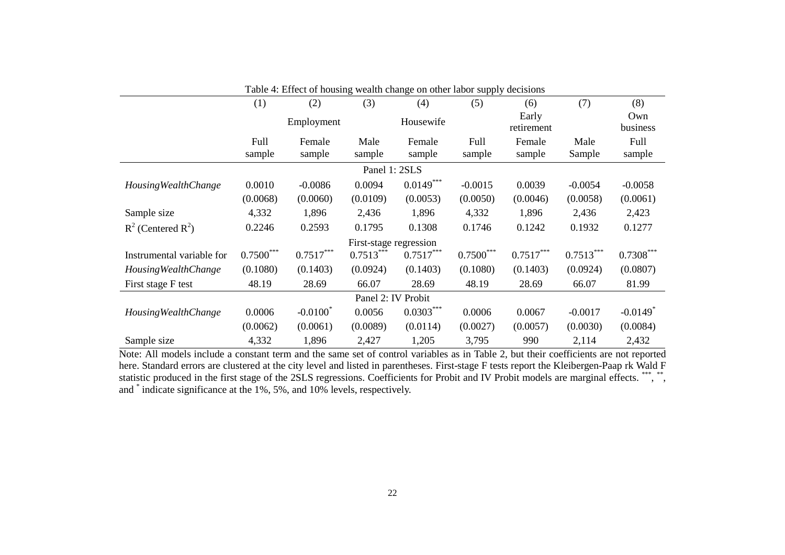|                              | (1)         | (2)         | (3)                    | (4)         | (5)         | (6)                 | (7)         | (8)                    |
|------------------------------|-------------|-------------|------------------------|-------------|-------------|---------------------|-------------|------------------------|
|                              |             | Employment  |                        | Housewife   |             | Early<br>retirement |             | Own<br>business        |
|                              | Full        | Female      | Male                   | Female      | Full        | Female              | Male        | Full                   |
|                              | sample      | sample      | sample                 | sample      | sample      | sample              | Sample      | sample                 |
|                              |             |             | Panel 1: 2SLS          |             |             |                     |             |                        |
| <b>Housing Wealth Change</b> | 0.0010      | $-0.0086$   | 0.0094                 | $0.0149***$ | $-0.0015$   | 0.0039              | $-0.0054$   | $-0.0058$              |
|                              | (0.0068)    | (0.0060)    | (0.0109)               | (0.0053)    | (0.0050)    | (0.0046)            | (0.0058)    | (0.0061)               |
| Sample size                  | 4,332       | 1,896       | 2,436                  | 1,896       | 4,332       | 1,896               | 2,436       | 2,423                  |
| $R^2$ (Centered $R^2$ )      | 0.2246      | 0.2593      | 0.1795                 | 0.1308      | 0.1746      | 0.1242              | 0.1932      | 0.1277                 |
|                              |             |             | First-stage regression |             |             |                     |             |                        |
| Instrumental variable for    | $0.7500***$ | $0.7517***$ | $0.7513***$            | $0.7517***$ | $0.7500***$ | $0.7517***$         | $0.7513***$ | $0.7308***$            |
| <b>Housing Wealth Change</b> | (0.1080)    | (0.1403)    | (0.0924)               | (0.1403)    | (0.1080)    | (0.1403)            | (0.0924)    | (0.0807)               |
| First stage F test           | 48.19       | 28.69       | 66.07                  | 28.69       | 48.19       | 28.69               | 66.07       | 81.99                  |
|                              |             |             | Panel 2: IV Probit     |             |             |                     |             |                        |
| <b>Housing Wealth Change</b> | 0.0006      | $-0.0100^*$ | 0.0056                 | $0.0303***$ | 0.0006      | 0.0067              | $-0.0017$   | $-0.0149$ <sup>*</sup> |
|                              | (0.0062)    | (0.0061)    | (0.0089)               | (0.0114)    | (0.0027)    | (0.0057)            | (0.0030)    | (0.0084)               |
| Sample size                  | 4,332       | 1,896       | 2,427                  | 1,205       | 3,795       | 990                 | 2,114       | 2,432                  |

Table 4: Effect of housing wealth change on other labor supply decisions

Note: All models include a constant term and the same set of control variables as in Table 2, but their coefficients are not reported here. Standard errors are clustered at the city level and listed in parentheses. First-stage F tests report the Kleibergen-Paap rk Wald F statistic produced in the first stage of the 2SLS regressions. Coefficients for Probit and IV Probit models are marginal effects. \*\*\*, \*\*, and \* indicate significance at the 1%, 5%, and 10% levels, respectively.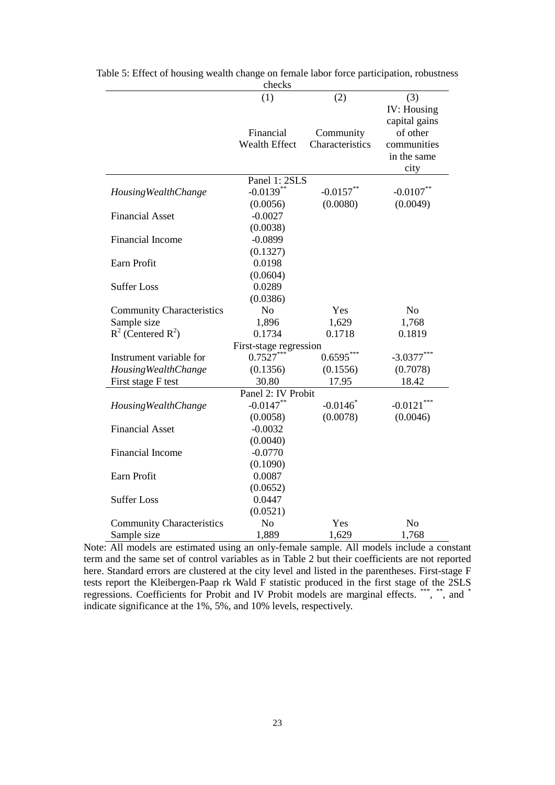|                                  | ********               |                        |                    |
|----------------------------------|------------------------|------------------------|--------------------|
|                                  | (1)                    | (2)                    | (3)                |
|                                  |                        |                        | <b>IV:</b> Housing |
|                                  |                        |                        | capital gains      |
|                                  | Financial              | Community              | of other           |
|                                  | <b>Wealth Effect</b>   | Characteristics        | communities        |
|                                  |                        |                        | in the same        |
|                                  |                        |                        | city               |
|                                  | Panel 1: 2SLS          |                        |                    |
| <b>Housing Wealth Change</b>     | $-0.0139$ **           | $-0.0157$ **           | $-0.0107**$        |
|                                  | (0.0056)               | (0.0080)               | (0.0049)           |
| <b>Financial Asset</b>           | $-0.0027$              |                        |                    |
|                                  | (0.0038)               |                        |                    |
| <b>Financial Income</b>          | $-0.0899$              |                        |                    |
|                                  | (0.1327)               |                        |                    |
| Earn Profit                      | 0.0198                 |                        |                    |
|                                  | (0.0604)               |                        |                    |
| <b>Suffer Loss</b>               | 0.0289                 |                        |                    |
|                                  | (0.0386)               |                        |                    |
| <b>Community Characteristics</b> | N <sub>o</sub>         | Yes                    | N <sub>o</sub>     |
| Sample size                      | 1,896                  | 1,629                  | 1,768              |
| $R^2$ (Centered $R^2$ )          | 0.1734                 | 0.1718                 | 0.1819             |
|                                  | First-stage regression |                        |                    |
| Instrument variable for          | $0.7527***$            | $0.6595***$            | $-3.0377$ *        |
| <b>Housing Wealth Change</b>     | (0.1356)               | (0.1556)               | (0.7078)           |
| First stage F test               | 30.80                  | 17.95                  | 18.42              |
|                                  | Panel 2: IV Probit     |                        |                    |
| <b>Housing Wealth Change</b>     | $-0.0147**$            | $-0.0146$ <sup>*</sup> | $-0.0121$ ***      |
|                                  | (0.0058)               | (0.0078)               | (0.0046)           |
| <b>Financial Asset</b>           | $-0.0032$              |                        |                    |
|                                  | (0.0040)               |                        |                    |
| Financial Income                 | $-0.0770$              |                        |                    |
|                                  | (0.1090)               |                        |                    |
| Earn Profit                      | 0.0087                 |                        |                    |
|                                  | (0.0652)               |                        |                    |
| <b>Suffer Loss</b>               | 0.0447                 |                        |                    |
|                                  | (0.0521)               |                        |                    |
| <b>Community Characteristics</b> | N <sub>o</sub>         | Yes                    | N <sub>o</sub>     |
| Sample size                      | 1,889                  | 1,629                  | 1,768              |

| Table 5: Effect of housing wealth change on female labor force participation, robustness |  |
|------------------------------------------------------------------------------------------|--|
| checks                                                                                   |  |

Note: All models are estimated using an only-female sample. All models include a constant term and the same set of control variables as in Table 2 but their coefficients are not reported here. Standard errors are clustered at the city level and listed in the parentheses. First-stage F tests report the Kleibergen-Paap rk Wald F statistic produced in the first stage of the 2SLS regressions. Coefficients for Probit and IV Probit models are marginal effects. \*\*\*, \*\*, and \* indicate significance at the 1%, 5%, and 10% levels, respectively.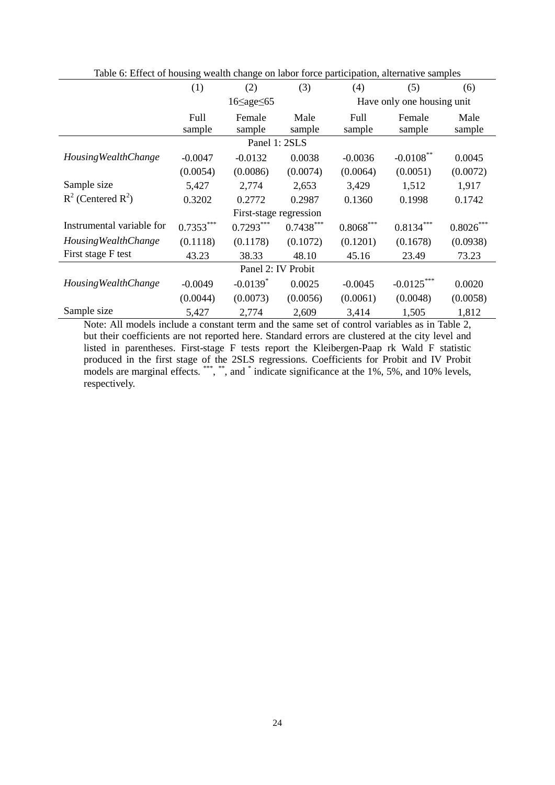|                              | (1)         | (2)                    | (3)         | (4)         | (5)                        | (6)         |
|------------------------------|-------------|------------------------|-------------|-------------|----------------------------|-------------|
|                              |             | $16 \leq age \leq 65$  |             |             | Have only one housing unit |             |
|                              | Full        | Female                 | Male        | Full        | Female                     | Male        |
|                              | sample      | sample                 | sample      | sample      | sample                     | sample      |
|                              |             | Panel 1: 2SLS          |             |             |                            |             |
| <b>Housing Wealth Change</b> | $-0.0047$   | $-0.0132$              | 0.0038      | $-0.0036$   | $-0.0108***$               | 0.0045      |
|                              | (0.0054)    | (0.0086)               | (0.0074)    | (0.0064)    | (0.0051)                   | (0.0072)    |
| Sample size                  | 5,427       | 2,774                  | 2,653       | 3,429       | 1,512                      | 1,917       |
| $R^2$ (Centered $R^2$ )      | 0.3202      | 0.2772                 | 0.2987      | 0.1360      | 0.1998                     | 0.1742      |
|                              |             | First-stage regression |             |             |                            |             |
| Instrumental variable for    | $0.7353***$ | $0.7293***$            | $0.7438***$ | $0.8068***$ | $0.8134***$                | $0.8026***$ |
| <b>Housing Wealth Change</b> | (0.1118)    | (0.1178)               | (0.1072)    | (0.1201)    | (0.1678)                   | (0.0938)    |
| First stage F test           | 43.23       | 38.33                  | 48.10       | 45.16       | 23.49                      | 73.23       |
|                              |             | Panel 2: IV Probit     |             |             |                            |             |
| <b>Housing Wealth Change</b> | $-0.0049$   | $-0.0139$ <sup>*</sup> | 0.0025      | $-0.0045$   | $-0.0125***$               | 0.0020      |
|                              | (0.0044)    | (0.0073)               | (0.0056)    | (0.0061)    | (0.0048)                   | (0.0058)    |
| Sample size                  | 5,427       | 2,774                  | 2,609       | 3,414       | 1,505                      | 1,812       |

Table 6: Effect of housing wealth change on labor force participation, alternative samples

Note: All models include a constant term and the same set of control variables as in Table 2, but their coefficients are not reported here. Standard errors are clustered at the city level and listed in parentheses. First-stage F tests report the Kleibergen-Paap rk Wald F statistic produced in the first stage of the 2SLS regressions. Coefficients for Probit and IV Probit models are marginal effects. \*\*\*, \*\*, and \* indicate significance at the 1%, 5%, and 10% levels, respectively.